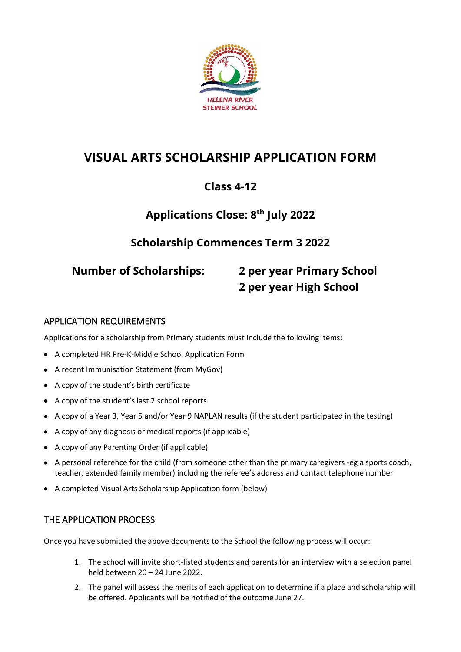

# **VISUAL ARTS SCHOLARSHIP APPLICATION FORM**

## **Class 4-12**

## **Applications Close: 8 th July 2022**

## **Scholarship Commences Term 3 2022**

# **Number of Scholarships: 2 per year Primary School 2 per year High School**

### APPLICATION REQUIREMENTS

Applications for a scholarship from Primary students must include the following items:

- A completed HR Pre-K-Middle School Application Form
- A recent Immunisation Statement (from MyGov)
- A copy of the student's birth certificate
- A copy of the student's last 2 school reports
- A copy of a Year 3, Year 5 and/or Year 9 NAPLAN results (if the student participated in the testing)
- A copy of any diagnosis or medical reports (if applicable)
- A copy of any Parenting Order (if applicable)
- A personal reference for the child (from someone other than the primary caregivers -eg a sports coach, teacher, extended family member) including the referee's address and contact telephone number
- A completed Visual Arts Scholarship Application form (below)

### THE APPLICATION PROCESS

Once you have submitted the above documents to the School the following process will occur:

- 1. The school will invite short-listed students and parents for an interview with a selection panel held between 20 – 24 June 2022.
- 2. The panel will assess the merits of each application to determine if a place and scholarship will be offered. Applicants will be notified of the outcome June 27.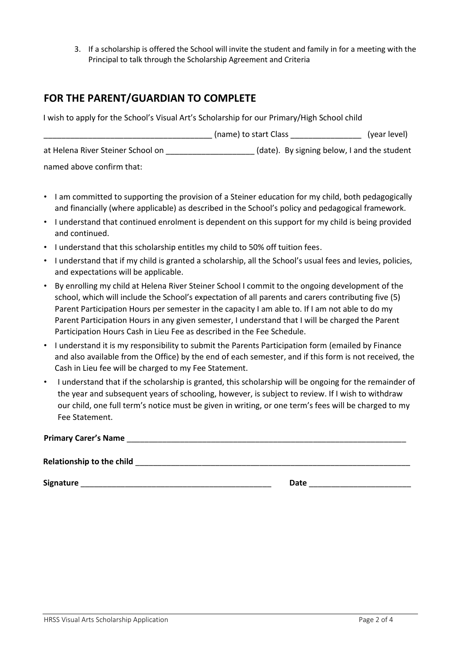3. If a scholarship is offered the School will invite the student and family in for a meeting with the Principal to talk through the Scholarship Agreement and Criteria

## **FOR THE PARENT/GUARDIAN TO COMPLETE**

I wish to apply for the School's Visual Art's Scholarship for our Primary/High School child

|                                   | (name) to start Class                       | (year level) |
|-----------------------------------|---------------------------------------------|--------------|
| at Helena River Steiner School on | (date). By signing below, I and the student |              |
| named above confirm that:         |                                             |              |

- I am committed to supporting the provision of a Steiner education for my child, both pedagogically and financially (where applicable) as described in the School's policy and pedagogical framework.
- I understand that continued enrolment is dependent on this support for my child is being provided and continued.
- I understand that this scholarship entitles my child to 50% off tuition fees.
- I understand that if my child is granted a scholarship, all the School's usual fees and levies, policies, and expectations will be applicable.
- By enrolling my child at Helena River Steiner School I commit to the ongoing development of the school, which will include the School's expectation of all parents and carers contributing five (5) Parent Participation Hours per semester in the capacity I am able to. If I am not able to do my Parent Participation Hours in any given semester, I understand that I will be charged the Parent Participation Hours Cash in Lieu Fee as described in the Fee Schedule.
- I understand it is my responsibility to submit the Parents Participation form (emailed by Finance and also available from the Office) by the end of each semester, and if this form is not received, the Cash in Lieu fee will be charged to my Fee Statement.
- I understand that if the scholarship is granted, this scholarship will be ongoing for the remainder of the year and subsequent years of schooling, however, is subject to review. If I wish to withdraw our child, one full term's notice must be given in writing, or one term's fees will be charged to my Fee Statement.

| <b>Primary Carer's Name</b>      |      |  |
|----------------------------------|------|--|
| <b>Relationship to the child</b> |      |  |
| Signature                        | Date |  |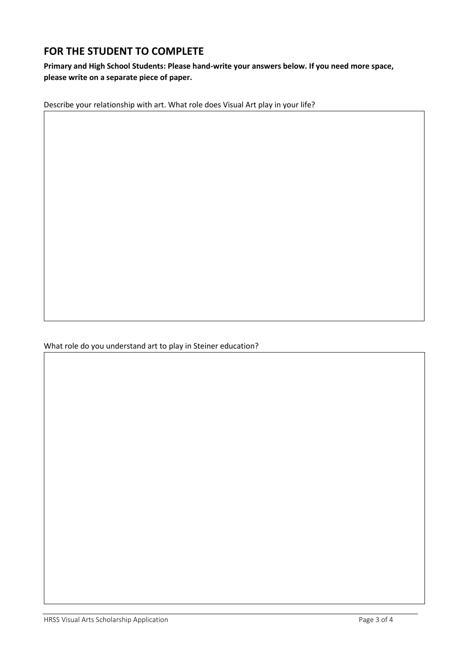## **FOR THE STUDENT TO COMPLETE**

#### **Primary and High School Students: Please hand-write your answers below. If you need more space, please write on a separate piece of paper.**

Describe your relationship with art. What role does Visual Art play in your life?

What role do you understand art to play in Steiner education?